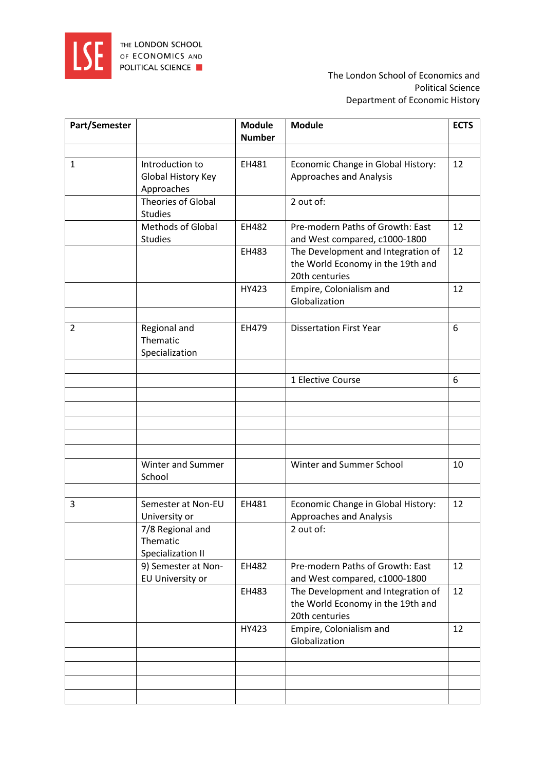

| Part/Semester  |                                                     | <b>Module</b><br><b>Number</b> | <b>Module</b>                                                                             | <b>ECTS</b> |
|----------------|-----------------------------------------------------|--------------------------------|-------------------------------------------------------------------------------------------|-------------|
|                |                                                     |                                |                                                                                           |             |
| $\mathbf{1}$   | Introduction to<br>Global History Key<br>Approaches | EH481                          | Economic Change in Global History:<br>Approaches and Analysis                             | 12          |
|                | Theories of Global<br><b>Studies</b>                |                                | 2 out of:                                                                                 |             |
|                | <b>Methods of Global</b><br><b>Studies</b>          | EH482                          | Pre-modern Paths of Growth: East<br>and West compared, c1000-1800                         | 12          |
|                |                                                     | EH483                          | The Development and Integration of<br>the World Economy in the 19th and<br>20th centuries | 12          |
|                |                                                     | HY423                          | Empire, Colonialism and<br>Globalization                                                  | 12          |
| $\overline{2}$ | Regional and<br>Thematic<br>Specialization          | EH479                          | <b>Dissertation First Year</b>                                                            | 6           |
|                |                                                     |                                | 1 Elective Course                                                                         | 6           |
|                |                                                     |                                |                                                                                           |             |
|                |                                                     |                                |                                                                                           |             |
|                |                                                     |                                |                                                                                           |             |
|                |                                                     |                                |                                                                                           |             |
|                | Winter and Summer<br>School                         |                                | Winter and Summer School                                                                  | 10          |
| 3              | Semester at Non-EU<br>University or                 | EH481                          | Economic Change in Global History:<br><b>Approaches and Analysis</b>                      | 12          |
|                | 7/8 Regional and<br>Thematic<br>Specialization II   |                                | 2 out of:                                                                                 |             |
|                | 9) Semester at Non-<br>EU University or             | EH482                          | Pre-modern Paths of Growth: East<br>and West compared, c1000-1800                         | 12          |
|                |                                                     | EH483                          | The Development and Integration of<br>the World Economy in the 19th and<br>20th centuries | 12          |
|                |                                                     | HY423                          | Empire, Colonialism and<br>Globalization                                                  | 12          |
|                |                                                     |                                |                                                                                           |             |
|                |                                                     |                                |                                                                                           |             |
|                |                                                     |                                |                                                                                           |             |